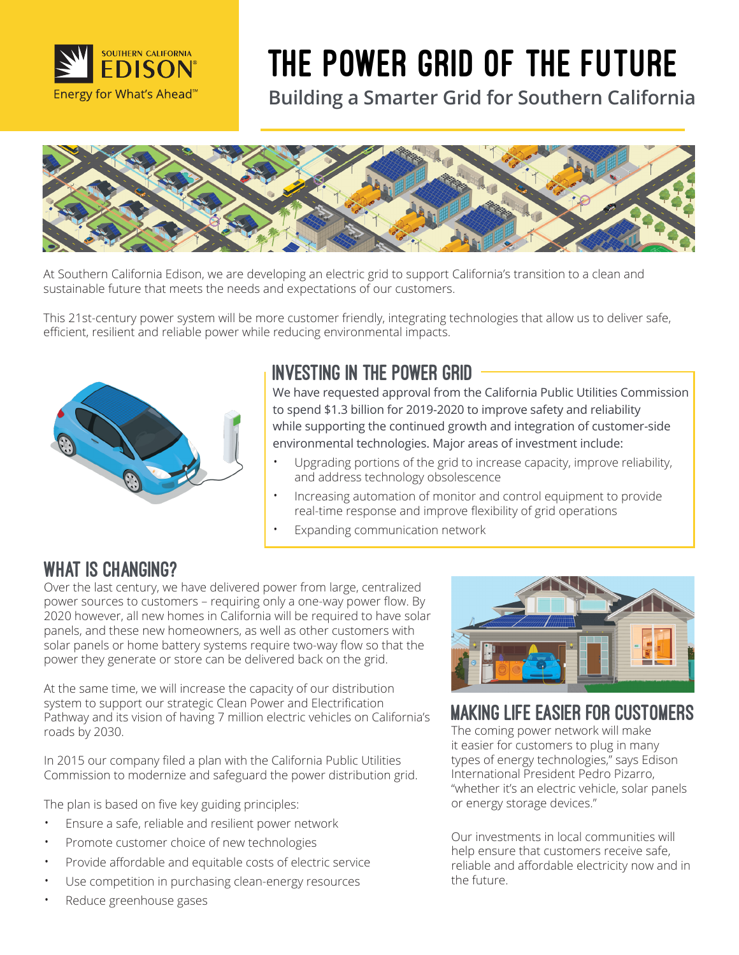

# The Power Grid of the Future

**Building a Smarter Grid for Southern California**



At Southern California Edison, we are developing an electric grid to support California's transition to a clean and sustainable future that meets the needs and expectations of our customers.

This 21st-century power system will be more customer friendly, integrating technologies that allow us to deliver safe, efficient, resilient and reliable power while reducing environmental impacts.



# Investing in the Power Grid

We have requested approval from the California Public Utilities Commission to spend \$1.3 billion for 2019-2020 to improve safety and reliability while supporting the continued growth and integration of customer-side environmental technologies. Major areas of investment include:

- Upgrading portions of the grid to increase capacity, improve reliability, and address technology obsolescence
- Increasing automation of monitor and control equipment to provide real-time response and improve flexibility of grid operations
- Expanding communication network

## WHAT IS CHANGING?

Over the last century, we have delivered power from large, centralized power sources to customers – requiring only a one-way power flow. By 2020 however, all new homes in California will be required to have solar panels, and these new homeowners, as well as other customers with solar panels or home battery systems require two-way flow so that the power they generate or store can be delivered back on the grid.

At the same time, we will increase the capacity of our distribution system to support our strategic Clean Power and Electrification Pathway and its vision of having 7 million electric vehicles on California's roads by 2030.

In 2015 our company filed a plan with the California Public Utilities Commission to modernize and safeguard the power distribution grid.

The plan is based on five key guiding principles:

- Ensure a safe, reliable and resilient power network
- Promote customer choice of new technologies
- Provide affordable and equitable costs of electric service
- Use competition in purchasing clean-energy resources
- Reduce greenhouse gases



#### Making Life Easier for Customers

The coming power network will make it easier for customers to plug in many types of energy technologies," says Edison International President Pedro Pizarro, "whether it's an electric vehicle, solar panels or energy storage devices."

Our investments in local communities will help ensure that customers receive safe, reliable and affordable electricity now and in the future.